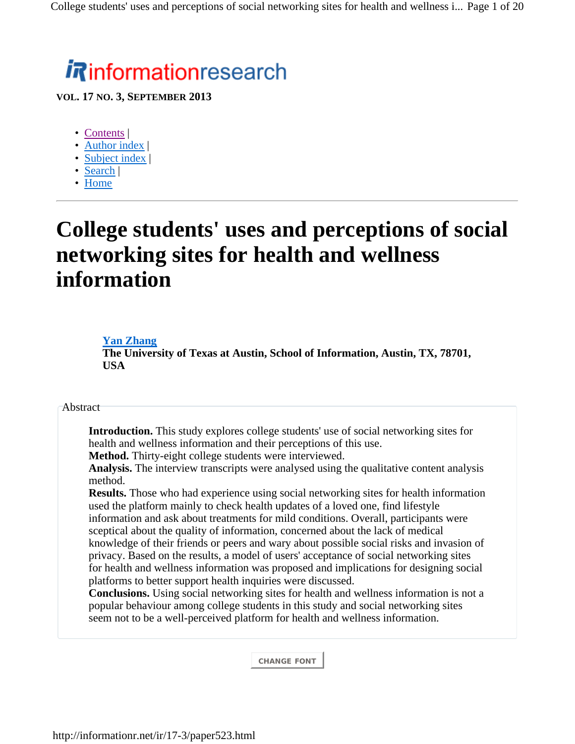# *i R*informationresearch

**VOL. 17 NO. 3, SEPTEMBER 2013**

- Contents
- Author index |
- Subject index |
- Search |
- Home

# **College students' uses and perceptions of social networking sites for health and wellness information**

### **Yan Zhang**

**The University of Texas at Austin, School of Information, Austin, TX, 78701, USA**

### Abstract

**Introduction.** This study explores college students' use of social networking sites for health and wellness information and their perceptions of this use.

**Method.** Thirty-eight college students were interviewed.

**Analysis.** The interview transcripts were analysed using the qualitative content analysis method.

**Results.** Those who had experience using social networking sites for health information used the platform mainly to check health updates of a loved one, find lifestyle information and ask about treatments for mild conditions. Overall, participants were sceptical about the quality of information, concerned about the lack of medical knowledge of their friends or peers and wary about possible social risks and invasion of privacy. Based on the results, a model of users' acceptance of social networking sites for health and wellness information was proposed and implications for designing social platforms to better support health inquiries were discussed.

**Conclusions.** Using social networking sites for health and wellness information is not a popular behaviour among college students in this study and social networking sites seem not to be a well-perceived platform for health and wellness information.

**CHANGE FONT**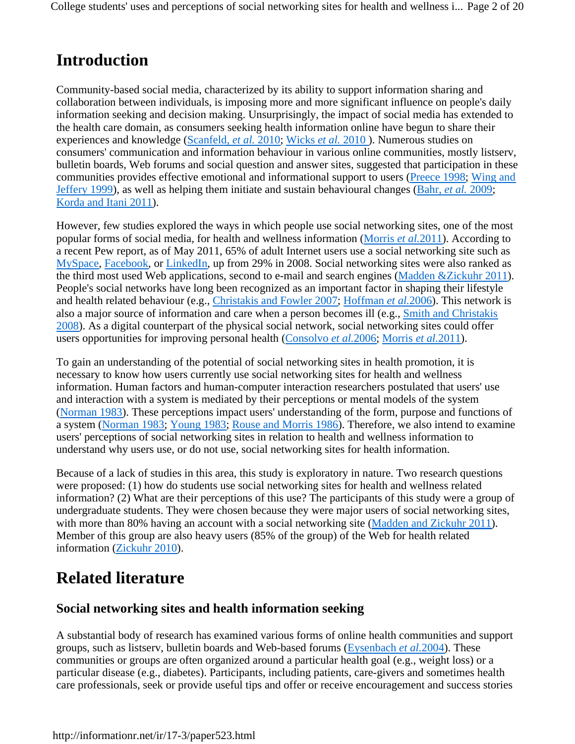# **Introduction**

Community-based social media, characterized by its ability to support information sharing and collaboration between individuals, is imposing more and more significant influence on people's daily information seeking and decision making. Unsurprisingly, the impact of social media has extended to the health care domain, as consumers seeking health information online have begun to share their experiences and knowledge (Scanfeld, *et al.* 2010; Wicks *et al.* 2010 ). Numerous studies on consumers' communication and information behaviour in various online communities, mostly listserv, bulletin boards, Web forums and social question and answer sites, suggested that participation in these communities provides effective emotional and informational support to users (Preece 1998; Wing and Jeffery 1999), as well as helping them initiate and sustain behavioural changes (Bahr, *et al.* 2009; Korda and Itani 2011).

However, few studies explored the ways in which people use social networking sites, one of the most popular forms of social media, for health and wellness information (Morris *et al.*2011). According to a recent Pew report, as of May 2011, 65% of adult Internet users use a social networking site such as MySpace, Facebook, or LinkedIn, up from 29% in 2008. Social networking sites were also ranked as the third most used Web applications, second to e-mail and search engines (Madden &Zickuhr 2011). People's social networks have long been recognized as an important factor in shaping their lifestyle and health related behaviour (e.g., Christakis and Fowler 2007; Hoffman *et al.*2006). This network is also a major source of information and care when a person becomes ill (e.g., Smith and Christakis 2008). As a digital counterpart of the physical social network, social networking sites could offer users opportunities for improving personal health (Consolvo *et al.*2006; Morris *et al.*2011).

To gain an understanding of the potential of social networking sites in health promotion, it is necessary to know how users currently use social networking sites for health and wellness information. Human factors and human-computer interaction researchers postulated that users' use and interaction with a system is mediated by their perceptions or mental models of the system (Norman 1983). These perceptions impact users' understanding of the form, purpose and functions of a system (Norman 1983; Young 1983; Rouse and Morris 1986). Therefore, we also intend to examine users' perceptions of social networking sites in relation to health and wellness information to understand why users use, or do not use, social networking sites for health information.

Because of a lack of studies in this area, this study is exploratory in nature. Two research questions were proposed: (1) how do students use social networking sites for health and wellness related information? (2) What are their perceptions of this use? The participants of this study were a group of undergraduate students. They were chosen because they were major users of social networking sites, with more than 80% having an account with a social networking site (Madden and Zickuhr 2011). Member of this group are also heavy users (85% of the group) of the Web for health related information (Zickuhr 2010).

# **Related literature**

### **Social networking sites and health information seeking**

A substantial body of research has examined various forms of online health communities and support groups, such as listserv, bulletin boards and Web-based forums (Eysenbach *et al.*2004). These communities or groups are often organized around a particular health goal (e.g., weight loss) or a particular disease (e.g., diabetes). Participants, including patients, care-givers and sometimes health care professionals, seek or provide useful tips and offer or receive encouragement and success stories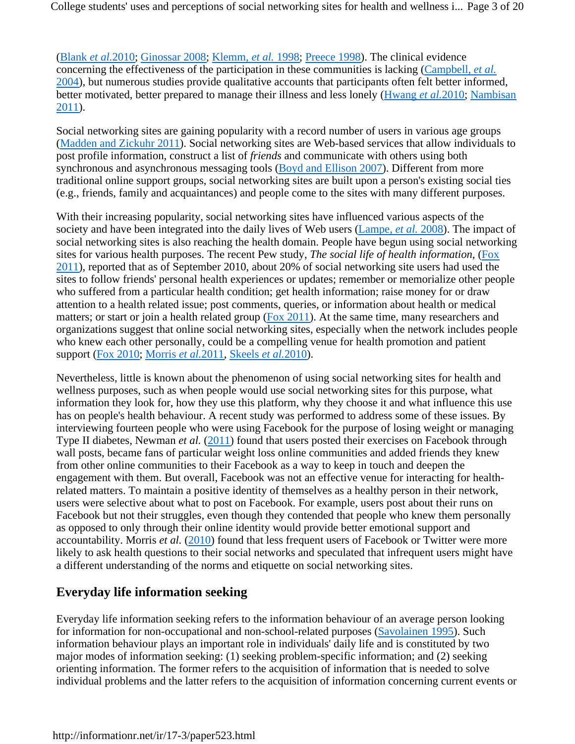College students' uses and perceptions of social networking sites for health and wellness i... Page 3 of 20

(Blank *et al.*2010; Ginossar 2008; Klemm, *et al.* 1998; Preece 1998). The clinical evidence concerning the effectiveness of the participation in these communities is lacking (Campbell, *et al.* 2004), but numerous studies provide qualitative accounts that participants often felt better informed, better motivated, better prepared to manage their illness and less lonely (Hwang *et al.*2010; Nambisan 2011).

Social networking sites are gaining popularity with a record number of users in various age groups (Madden and Zickuhr 2011). Social networking sites are Web-based services that allow individuals to post profile information, construct a list of *friends* and communicate with others using both synchronous and asynchronous messaging tools (Boyd and Ellison 2007). Different from more traditional online support groups, social networking sites are built upon a person's existing social ties (e.g., friends, family and acquaintances) and people come to the sites with many different purposes.

With their increasing popularity, social networking sites have influenced various aspects of the society and have been integrated into the daily lives of Web users (Lampe, *et al.* 2008). The impact of social networking sites is also reaching the health domain. People have begun using social networking sites for various health purposes. The recent Pew study, *The social life of health information*, (Fox 2011), reported that as of September 2010, about 20% of social networking site users had used the sites to follow friends' personal health experiences or updates; remember or memorialize other people who suffered from a particular health condition; get health information; raise money for or draw attention to a health related issue; post comments, queries, or information about health or medical matters; or start or join a health related group (Fox 2011). At the same time, many researchers and organizations suggest that online social networking sites, especially when the network includes people who knew each other personally, could be a compelling venue for health promotion and patient support (Fox 2010; Morris *et al.*2011, Skeels *et al.*2010).

Nevertheless, little is known about the phenomenon of using social networking sites for health and wellness purposes, such as when people would use social networking sites for this purpose, what information they look for, how they use this platform, why they choose it and what influence this use has on people's health behaviour. A recent study was performed to address some of these issues. By interviewing fourteen people who were using Facebook for the purpose of losing weight or managing Type II diabetes, Newman *et al.* (2011) found that users posted their exercises on Facebook through wall posts, became fans of particular weight loss online communities and added friends they knew from other online communities to their Facebook as a way to keep in touch and deepen the engagement with them. But overall, Facebook was not an effective venue for interacting for healthrelated matters. To maintain a positive identity of themselves as a healthy person in their network, users were selective about what to post on Facebook. For example, users post about their runs on Facebook but not their struggles, even though they contended that people who knew them personally as opposed to only through their online identity would provide better emotional support and accountability. Morris *et al.* (2010) found that less frequent users of Facebook or Twitter were more likely to ask health questions to their social networks and speculated that infrequent users might have a different understanding of the norms and etiquette on social networking sites.

### **Everyday life information seeking**

Everyday life information seeking refers to the information behaviour of an average person looking for information for non-occupational and non-school-related purposes (Savolainen 1995). Such information behaviour plays an important role in individuals' daily life and is constituted by two major modes of information seeking: (1) seeking problem-specific information; and (2) seeking orienting information. The former refers to the acquisition of information that is needed to solve individual problems and the latter refers to the acquisition of information concerning current events or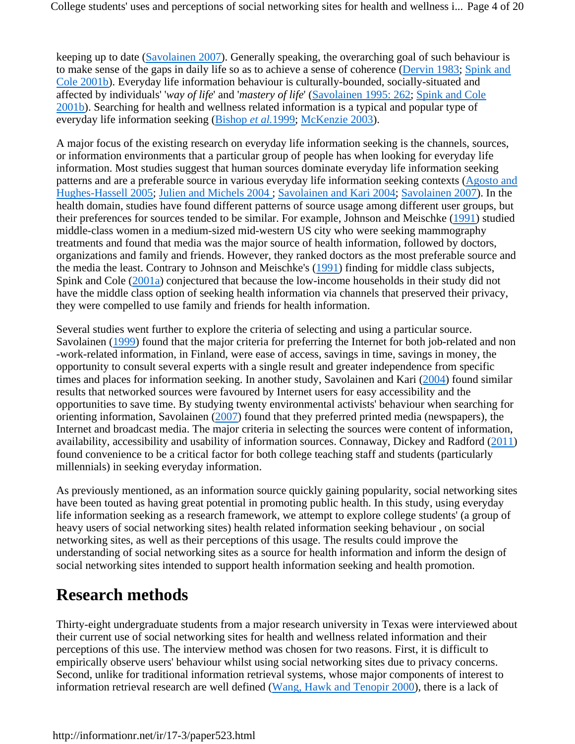keeping up to date (Savolainen 2007). Generally speaking, the overarching goal of such behaviour is to make sense of the gaps in daily life so as to achieve a sense of coherence (Dervin 1983; Spink and Cole 2001b). Everyday life information behaviour is culturally-bounded, socially-situated and affected by individuals' '*way of life*' and '*mastery of life*' (Savolainen 1995: 262; Spink and Cole 2001b). Searching for health and wellness related information is a typical and popular type of everyday life information seeking (Bishop *et al.*1999; McKenzie 2003).

A major focus of the existing research on everyday life information seeking is the channels, sources, or information environments that a particular group of people has when looking for everyday life information. Most studies suggest that human sources dominate everyday life information seeking patterns and are a preferable source in various everyday life information seeking contexts (Agosto and Hughes-Hassell 2005; Julien and Michels 2004 ; Savolainen and Kari 2004; Savolainen 2007). In the health domain, studies have found different patterns of source usage among different user groups, but their preferences for sources tended to be similar. For example, Johnson and Meischke (1991) studied middle-class women in a medium-sized mid-western US city who were seeking mammography treatments and found that media was the major source of health information, followed by doctors, organizations and family and friends. However, they ranked doctors as the most preferable source and the media the least. Contrary to Johnson and Meischke's (1991) finding for middle class subjects, Spink and Cole (2001a) conjectured that because the low-income households in their study did not have the middle class option of seeking health information via channels that preserved their privacy, they were compelled to use family and friends for health information.

Several studies went further to explore the criteria of selecting and using a particular source. Savolainen (1999) found that the major criteria for preferring the Internet for both job-related and non -work-related information, in Finland, were ease of access, savings in time, savings in money, the opportunity to consult several experts with a single result and greater independence from specific times and places for information seeking. In another study, Savolainen and Kari (2004) found similar results that networked sources were favoured by Internet users for easy accessibility and the opportunities to save time. By studying twenty environmental activists' behaviour when searching for orienting information, Savolainen (2007) found that they preferred printed media (newspapers), the Internet and broadcast media. The major criteria in selecting the sources were content of information, availability, accessibility and usability of information sources. Connaway, Dickey and Radford (2011) found convenience to be a critical factor for both college teaching staff and students (particularly millennials) in seeking everyday information.

As previously mentioned, as an information source quickly gaining popularity, social networking sites have been touted as having great potential in promoting public health. In this study, using everyday life information seeking as a research framework, we attempt to explore college students' (a group of heavy users of social networking sites) health related information seeking behaviour , on social networking sites, as well as their perceptions of this usage. The results could improve the understanding of social networking sites as a source for health information and inform the design of social networking sites intended to support health information seeking and health promotion.

# **Research methods**

Thirty-eight undergraduate students from a major research university in Texas were interviewed about their current use of social networking sites for health and wellness related information and their perceptions of this use. The interview method was chosen for two reasons. First, it is difficult to empirically observe users' behaviour whilst using social networking sites due to privacy concerns. Second, unlike for traditional information retrieval systems, whose major components of interest to information retrieval research are well defined (Wang, Hawk and Tenopir 2000), there is a lack of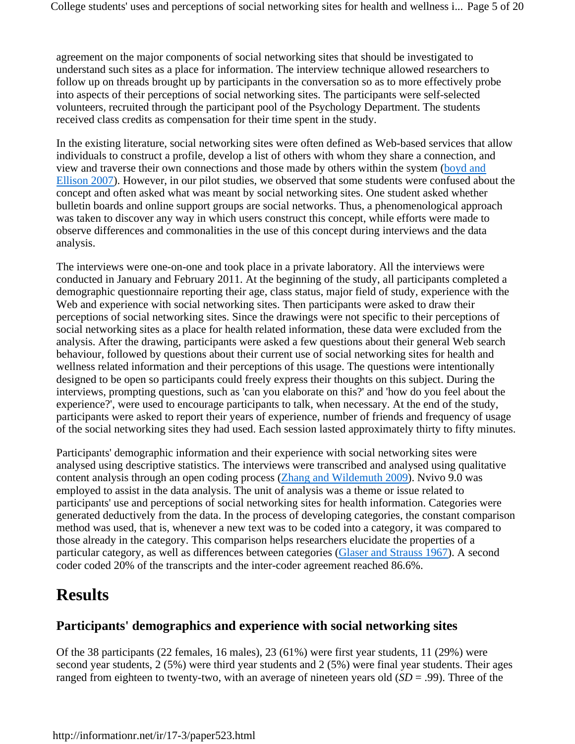agreement on the major components of social networking sites that should be investigated to understand such sites as a place for information. The interview technique allowed researchers to follow up on threads brought up by participants in the conversation so as to more effectively probe into aspects of their perceptions of social networking sites. The participants were self-selected volunteers, recruited through the participant pool of the Psychology Department. The students received class credits as compensation for their time spent in the study.

In the existing literature, social networking sites were often defined as Web-based services that allow individuals to construct a profile, develop a list of others with whom they share a connection, and view and traverse their own connections and those made by others within the system (boyd and Ellison 2007). However, in our pilot studies, we observed that some students were confused about the concept and often asked what was meant by social networking sites. One student asked whether bulletin boards and online support groups are social networks. Thus, a phenomenological approach was taken to discover any way in which users construct this concept, while efforts were made to observe differences and commonalities in the use of this concept during interviews and the data analysis.

The interviews were one-on-one and took place in a private laboratory. All the interviews were conducted in January and February 2011. At the beginning of the study, all participants completed a demographic questionnaire reporting their age, class status, major field of study, experience with the Web and experience with social networking sites. Then participants were asked to draw their perceptions of social networking sites. Since the drawings were not specific to their perceptions of social networking sites as a place for health related information, these data were excluded from the analysis. After the drawing, participants were asked a few questions about their general Web search behaviour, followed by questions about their current use of social networking sites for health and wellness related information and their perceptions of this usage. The questions were intentionally designed to be open so participants could freely express their thoughts on this subject. During the interviews, prompting questions, such as 'can you elaborate on this?' and 'how do you feel about the experience?', were used to encourage participants to talk, when necessary. At the end of the study, participants were asked to report their years of experience, number of friends and frequency of usage of the social networking sites they had used. Each session lasted approximately thirty to fifty minutes.

Participants' demographic information and their experience with social networking sites were analysed using descriptive statistics. The interviews were transcribed and analysed using qualitative content analysis through an open coding process (Zhang and Wildemuth 2009). Nvivo 9.0 was employed to assist in the data analysis. The unit of analysis was a theme or issue related to participants' use and perceptions of social networking sites for health information. Categories were generated deductively from the data. In the process of developing categories, the constant comparison method was used, that is, whenever a new text was to be coded into a category, it was compared to those already in the category. This comparison helps researchers elucidate the properties of a particular category, as well as differences between categories (Glaser and Strauss 1967). A second coder coded 20% of the transcripts and the inter-coder agreement reached 86.6%.

# **Results**

### **Participants' demographics and experience with social networking sites**

Of the 38 participants (22 females, 16 males), 23 (61%) were first year students, 11 (29%) were second year students, 2 (5%) were third year students and 2 (5%) were final year students. Their ages ranged from eighteen to twenty-two, with an average of nineteen years old (*SD* = .99). Three of the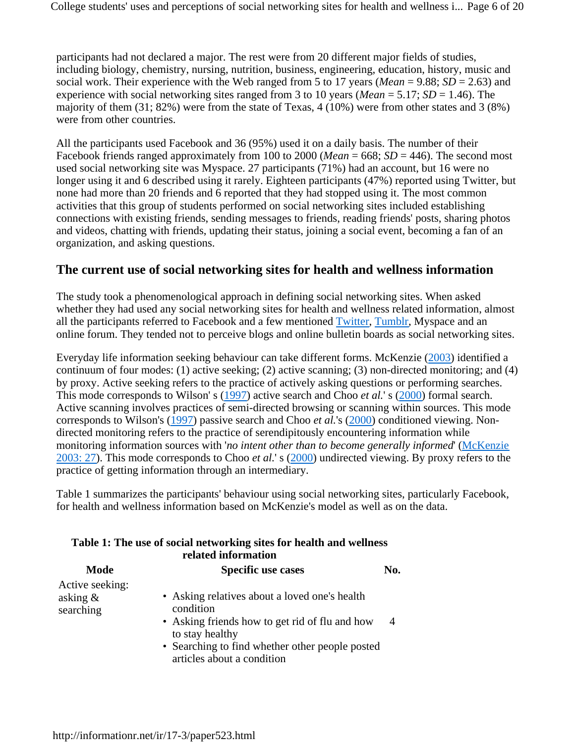participants had not declared a major. The rest were from 20 different major fields of studies, including biology, chemistry, nursing, nutrition, business, engineering, education, history, music and social work. Their experience with the Web ranged from 5 to 17 years (*Mean* = 9.88; *SD* = 2.63) and experience with social networking sites ranged from 3 to 10 years (*Mean* = 5.17; *SD* = 1.46). The majority of them (31; 82%) were from the state of Texas, 4 (10%) were from other states and 3 (8%) were from other countries.

All the participants used Facebook and 36 (95%) used it on a daily basis. The number of their Facebook friends ranged approximately from 100 to 2000 (*Mean* = 668; *SD* = 446). The second most used social networking site was Myspace. 27 participants (71%) had an account, but 16 were no longer using it and 6 described using it rarely. Eighteen participants (47%) reported using Twitter, but none had more than 20 friends and 6 reported that they had stopped using it. The most common activities that this group of students performed on social networking sites included establishing connections with existing friends, sending messages to friends, reading friends' posts, sharing photos and videos, chatting with friends, updating their status, joining a social event, becoming a fan of an organization, and asking questions.

### **The current use of social networking sites for health and wellness information**

The study took a phenomenological approach in defining social networking sites. When asked whether they had used any social networking sites for health and wellness related information, almost all the participants referred to Facebook and a few mentioned Twitter, Tumblr, Myspace and an online forum. They tended not to perceive blogs and online bulletin boards as social networking sites.

Everyday life information seeking behaviour can take different forms. McKenzie (2003) identified a continuum of four modes: (1) active seeking; (2) active scanning; (3) non-directed monitoring; and (4) by proxy. Active seeking refers to the practice of actively asking questions or performing searches. This mode corresponds to Wilson' s (1997) active search and Choo *et al.*' s (2000) formal search. Active scanning involves practices of semi-directed browsing or scanning within sources. This mode corresponds to Wilson's (1997) passive search and Choo *et al.*'s (2000) conditioned viewing. Nondirected monitoring refers to the practice of serendipitously encountering information while monitoring information sources with '*no intent other than to become generally informed*' (McKenzie 2003: 27). This mode corresponds to Choo *et al.*' s (2000) undirected viewing. By proxy refers to the practice of getting information through an intermediary.

Table 1 summarizes the participants' behaviour using social networking sites, particularly Facebook, for health and wellness information based on McKenzie's model as well as on the data.

|                                          | Table 1: The use of social networking sites for health and wellness<br>related information                                                                                                                       |     |
|------------------------------------------|------------------------------------------------------------------------------------------------------------------------------------------------------------------------------------------------------------------|-----|
| Mode                                     | <b>Specific use cases</b>                                                                                                                                                                                        | No. |
| Active seeking:<br>asking &<br>searching | • Asking relatives about a loved one's health<br>condition<br>• Asking friends how to get rid of flu and how<br>to stay healthy<br>• Searching to find whether other people posted<br>articles about a condition |     |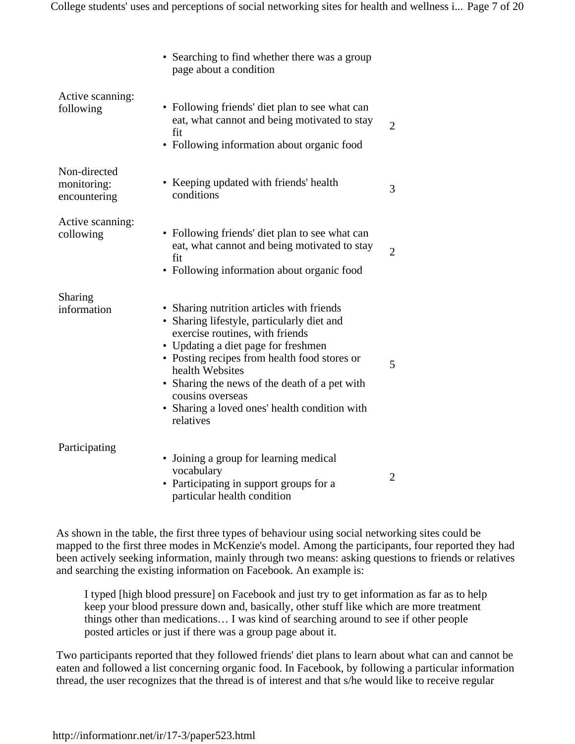|                                             | • Searching to find whether there was a group<br>page about a condition                                                                                                                                                                                                                                                                                                 |   |
|---------------------------------------------|-------------------------------------------------------------------------------------------------------------------------------------------------------------------------------------------------------------------------------------------------------------------------------------------------------------------------------------------------------------------------|---|
| Active scanning:<br>following               | • Following friends' diet plan to see what can<br>eat, what cannot and being motivated to stay<br>fit<br>• Following information about organic food                                                                                                                                                                                                                     | 2 |
| Non-directed<br>monitoring:<br>encountering | • Keeping updated with friends' health<br>conditions                                                                                                                                                                                                                                                                                                                    | 3 |
| Active scanning:<br>collowing               | • Following friends' diet plan to see what can<br>eat, what cannot and being motivated to stay<br>fit<br>• Following information about organic food                                                                                                                                                                                                                     | 2 |
| Sharing<br>information                      | • Sharing nutrition articles with friends<br>• Sharing lifestyle, particularly diet and<br>exercise routines, with friends<br>• Updating a diet page for freshmen<br>• Posting recipes from health food stores or<br>health Websites<br>• Sharing the news of the death of a pet with<br>cousins overseas<br>• Sharing a loved ones' health condition with<br>relatives | 5 |
| Participating                               | • Joining a group for learning medical<br>vocabulary<br>• Participating in support groups for a<br>particular health condition                                                                                                                                                                                                                                          | 2 |

As shown in the table, the first three types of behaviour using social networking sites could be mapped to the first three modes in McKenzie's model. Among the participants, four reported they had been actively seeking information, mainly through two means: asking questions to friends or relatives and searching the existing information on Facebook. An example is:

I typed [high blood pressure] on Facebook and just try to get information as far as to help keep your blood pressure down and, basically, other stuff like which are more treatment things other than medications… I was kind of searching around to see if other people posted articles or just if there was a group page about it.

Two participants reported that they followed friends' diet plans to learn about what can and cannot be eaten and followed a list concerning organic food. In Facebook, by following a particular information thread, the user recognizes that the thread is of interest and that s/he would like to receive regular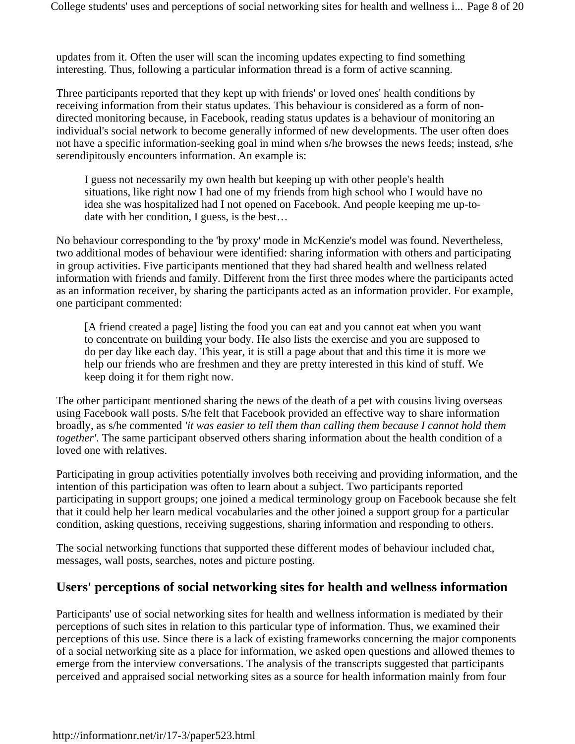updates from it. Often the user will scan the incoming updates expecting to find something interesting. Thus, following a particular information thread is a form of active scanning.

Three participants reported that they kept up with friends' or loved ones' health conditions by receiving information from their status updates. This behaviour is considered as a form of nondirected monitoring because, in Facebook, reading status updates is a behaviour of monitoring an individual's social network to become generally informed of new developments. The user often does not have a specific information-seeking goal in mind when s/he browses the news feeds; instead, s/he serendipitously encounters information. An example is:

I guess not necessarily my own health but keeping up with other people's health situations, like right now I had one of my friends from high school who I would have no idea she was hospitalized had I not opened on Facebook. And people keeping me up-todate with her condition, I guess, is the best…

No behaviour corresponding to the 'by proxy' mode in McKenzie's model was found. Nevertheless, two additional modes of behaviour were identified: sharing information with others and participating in group activities. Five participants mentioned that they had shared health and wellness related information with friends and family. Different from the first three modes where the participants acted as an information receiver, by sharing the participants acted as an information provider. For example, one participant commented:

[A friend created a page] listing the food you can eat and you cannot eat when you want to concentrate on building your body. He also lists the exercise and you are supposed to do per day like each day. This year, it is still a page about that and this time it is more we help our friends who are freshmen and they are pretty interested in this kind of stuff. We keep doing it for them right now.

The other participant mentioned sharing the news of the death of a pet with cousins living overseas using Facebook wall posts. S/he felt that Facebook provided an effective way to share information broadly, as s/he commented *'it was easier to tell them than calling them because I cannot hold them together'*. The same participant observed others sharing information about the health condition of a loved one with relatives.

Participating in group activities potentially involves both receiving and providing information, and the intention of this participation was often to learn about a subject. Two participants reported participating in support groups; one joined a medical terminology group on Facebook because she felt that it could help her learn medical vocabularies and the other joined a support group for a particular condition, asking questions, receiving suggestions, sharing information and responding to others.

The social networking functions that supported these different modes of behaviour included chat, messages, wall posts, searches, notes and picture posting.

### **Users' perceptions of social networking sites for health and wellness information**

Participants' use of social networking sites for health and wellness information is mediated by their perceptions of such sites in relation to this particular type of information. Thus, we examined their perceptions of this use. Since there is a lack of existing frameworks concerning the major components of a social networking site as a place for information, we asked open questions and allowed themes to emerge from the interview conversations. The analysis of the transcripts suggested that participants perceived and appraised social networking sites as a source for health information mainly from four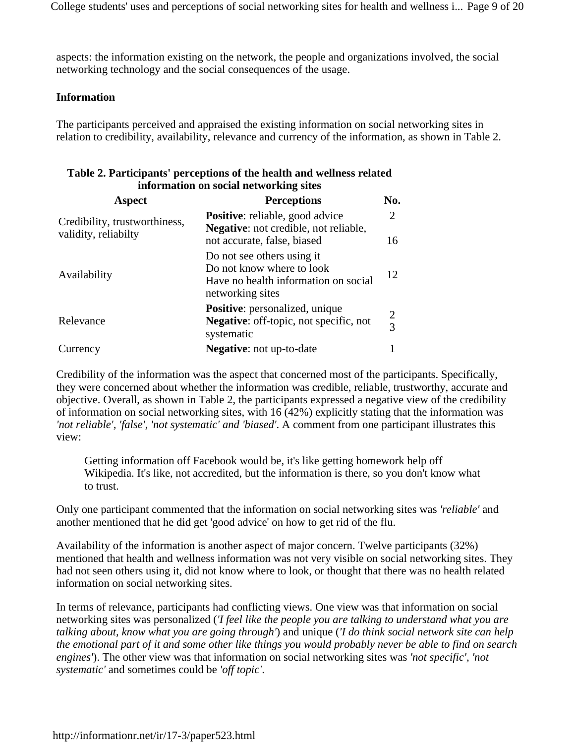College students' uses and perceptions of social networking sites for health and wellness i... Page 9 of 20

aspects: the information existing on the network, the people and organizations involved, the social networking technology and the social consequences of the usage.

#### **Information**

The participants perceived and appraised the existing information on social networking sites in relation to credibility, availability, relevance and currency of the information, as shown in Table 2.

#### **Table 2. Participants' perceptions of the health and wellness related information on social networking sites**

| Aspect                                                | <b>Perceptions</b>                                                                                                  | No.            |
|-------------------------------------------------------|---------------------------------------------------------------------------------------------------------------------|----------------|
| Credibility, trustworthiness,<br>validity, reliabilty | <b>Positive:</b> reliable, good advice<br><b>Negative:</b> not credible, not reliable,                              | $\overline{2}$ |
|                                                       | not accurate, false, biased                                                                                         | 16             |
| Availability                                          | Do not see others using it<br>Do not know where to look<br>Have no health information on social<br>networking sites | 12             |
| Relevance                                             | Positive: personalized, unique<br><b>Negative:</b> off-topic, not specific, not<br>systematic                       | $\frac{2}{3}$  |
| Currency                                              | <b>Negative:</b> not up-to-date                                                                                     |                |

Credibility of the information was the aspect that concerned most of the participants. Specifically, they were concerned about whether the information was credible, reliable, trustworthy, accurate and objective. Overall, as shown in Table 2, the participants expressed a negative view of the credibility of information on social networking sites, with 16 (42%) explicitly stating that the information was *'not reliable', 'false', 'not systematic' and 'biased'*. A comment from one participant illustrates this view:

Getting information off Facebook would be, it's like getting homework help off Wikipedia. It's like, not accredited, but the information is there, so you don't know what to trust.

Only one participant commented that the information on social networking sites was *'reliable'* and another mentioned that he did get 'good advice' on how to get rid of the flu.

Availability of the information is another aspect of major concern. Twelve participants (32%) mentioned that health and wellness information was not very visible on social networking sites. They had not seen others using it, did not know where to look, or thought that there was no health related information on social networking sites.

In terms of relevance, participants had conflicting views. One view was that information on social networking sites was personalized (*'I feel like the people you are talking to understand what you are talking about, know what you are going through'*) and unique (*'I do think social network site can help the emotional part of it and some other like things you would probably never be able to find on search engines'*). The other view was that information on social networking sites was *'not specific', 'not systematic'* and sometimes could be *'off topic'*.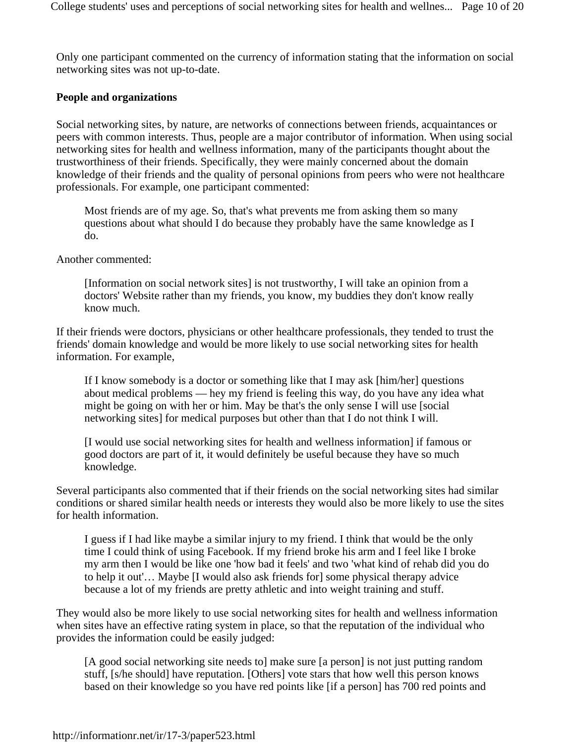Only one participant commented on the currency of information stating that the information on social networking sites was not up-to-date.

#### **People and organizations**

Social networking sites, by nature, are networks of connections between friends, acquaintances or peers with common interests. Thus, people are a major contributor of information. When using social networking sites for health and wellness information, many of the participants thought about the trustworthiness of their friends. Specifically, they were mainly concerned about the domain knowledge of their friends and the quality of personal opinions from peers who were not healthcare professionals. For example, one participant commented:

Most friends are of my age. So, that's what prevents me from asking them so many questions about what should I do because they probably have the same knowledge as I do.

Another commented:

[Information on social network sites] is not trustworthy, I will take an opinion from a doctors' Website rather than my friends, you know, my buddies they don't know really know much.

If their friends were doctors, physicians or other healthcare professionals, they tended to trust the friends' domain knowledge and would be more likely to use social networking sites for health information. For example,

If I know somebody is a doctor or something like that I may ask [him/her] questions about medical problems — hey my friend is feeling this way, do you have any idea what might be going on with her or him. May be that's the only sense I will use [social networking sites] for medical purposes but other than that I do not think I will.

[I would use social networking sites for health and wellness information] if famous or good doctors are part of it, it would definitely be useful because they have so much knowledge.

Several participants also commented that if their friends on the social networking sites had similar conditions or shared similar health needs or interests they would also be more likely to use the sites for health information.

I guess if I had like maybe a similar injury to my friend. I think that would be the only time I could think of using Facebook. If my friend broke his arm and I feel like I broke my arm then I would be like one 'how bad it feels' and two 'what kind of rehab did you do to help it out'… Maybe [I would also ask friends for] some physical therapy advice because a lot of my friends are pretty athletic and into weight training and stuff.

They would also be more likely to use social networking sites for health and wellness information when sites have an effective rating system in place, so that the reputation of the individual who provides the information could be easily judged:

[A good social networking site needs to] make sure [a person] is not just putting random stuff, [s/he should] have reputation. [Others] vote stars that how well this person knows based on their knowledge so you have red points like [if a person] has 700 red points and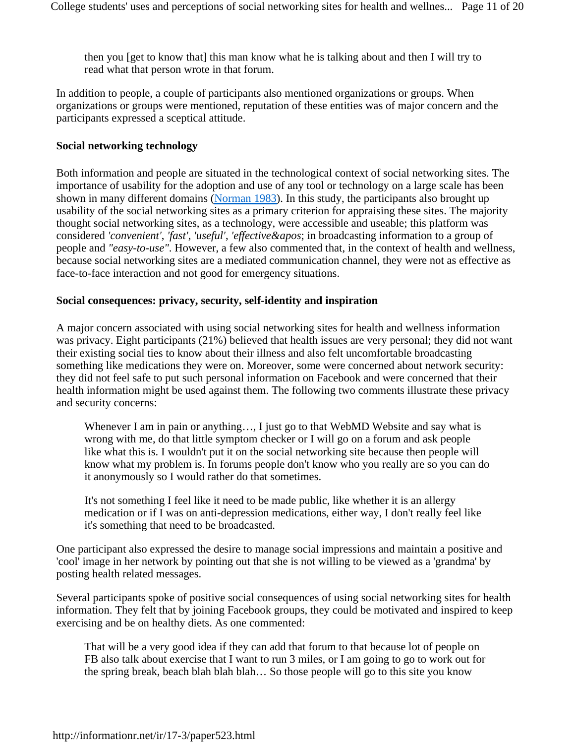then you [get to know that] this man know what he is talking about and then I will try to read what that person wrote in that forum.

In addition to people, a couple of participants also mentioned organizations or groups. When organizations or groups were mentioned, reputation of these entities was of major concern and the participants expressed a sceptical attitude.

#### **Social networking technology**

Both information and people are situated in the technological context of social networking sites. The importance of usability for the adoption and use of any tool or technology on a large scale has been shown in many different domains (Norman 1983). In this study, the participants also brought up usability of the social networking sites as a primary criterion for appraising these sites. The majority thought social networking sites, as a technology, were accessible and useable; this platform was considered *'convenient'*, *'fast'*, *'useful'*, *'effective&apos*; in broadcasting information to a group of people and *"easy-to-use"*. However, a few also commented that, in the context of health and wellness, because social networking sites are a mediated communication channel, they were not as effective as face-to-face interaction and not good for emergency situations.

#### **Social consequences: privacy, security, self-identity and inspiration**

A major concern associated with using social networking sites for health and wellness information was privacy. Eight participants (21%) believed that health issues are very personal; they did not want their existing social ties to know about their illness and also felt uncomfortable broadcasting something like medications they were on. Moreover, some were concerned about network security: they did not feel safe to put such personal information on Facebook and were concerned that their health information might be used against them. The following two comments illustrate these privacy and security concerns:

Whenever I am in pain or anything..., I just go to that WebMD Website and say what is wrong with me, do that little symptom checker or I will go on a forum and ask people like what this is. I wouldn't put it on the social networking site because then people will know what my problem is. In forums people don't know who you really are so you can do it anonymously so I would rather do that sometimes.

It's not something I feel like it need to be made public, like whether it is an allergy medication or if I was on anti-depression medications, either way, I don't really feel like it's something that need to be broadcasted.

One participant also expressed the desire to manage social impressions and maintain a positive and 'cool' image in her network by pointing out that she is not willing to be viewed as a 'grandma' by posting health related messages.

Several participants spoke of positive social consequences of using social networking sites for health information. They felt that by joining Facebook groups, they could be motivated and inspired to keep exercising and be on healthy diets. As one commented:

That will be a very good idea if they can add that forum to that because lot of people on FB also talk about exercise that I want to run 3 miles, or I am going to go to work out for the spring break, beach blah blah blah… So those people will go to this site you know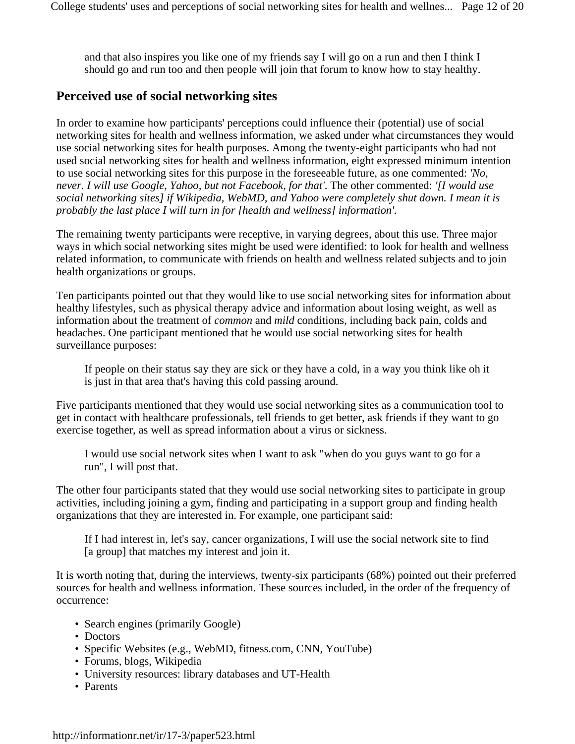and that also inspires you like one of my friends say I will go on a run and then I think I should go and run too and then people will join that forum to know how to stay healthy.

### **Perceived use of social networking sites**

In order to examine how participants' perceptions could influence their (potential) use of social networking sites for health and wellness information, we asked under what circumstances they would use social networking sites for health purposes. Among the twenty-eight participants who had not used social networking sites for health and wellness information, eight expressed minimum intention to use social networking sites for this purpose in the foreseeable future, as one commented: *'No, never. I will use Google, Yahoo, but not Facebook, for that'*. The other commented: *'[I would use social networking sites] if Wikipedia, WebMD, and Yahoo were completely shut down. I mean it is probably the last place I will turn in for [health and wellness] information'*.

The remaining twenty participants were receptive, in varying degrees, about this use. Three major ways in which social networking sites might be used were identified: to look for health and wellness related information, to communicate with friends on health and wellness related subjects and to join health organizations or groups.

Ten participants pointed out that they would like to use social networking sites for information about healthy lifestyles, such as physical therapy advice and information about losing weight, as well as information about the treatment of *common* and *mild* conditions, including back pain, colds and headaches. One participant mentioned that he would use social networking sites for health surveillance purposes:

If people on their status say they are sick or they have a cold, in a way you think like oh it is just in that area that's having this cold passing around.

Five participants mentioned that they would use social networking sites as a communication tool to get in contact with healthcare professionals, tell friends to get better, ask friends if they want to go exercise together, as well as spread information about a virus or sickness.

I would use social network sites when I want to ask "when do you guys want to go for a run", I will post that.

The other four participants stated that they would use social networking sites to participate in group activities, including joining a gym, finding and participating in a support group and finding health organizations that they are interested in. For example, one participant said:

If I had interest in, let's say, cancer organizations, I will use the social network site to find [a group] that matches my interest and join it.

It is worth noting that, during the interviews, twenty-six participants (68%) pointed out their preferred sources for health and wellness information. These sources included, in the order of the frequency of occurrence:

- Search engines (primarily Google)
- Doctors
- Specific Websites (e.g., WebMD, fitness.com, CNN, YouTube)
- Forums, blogs, Wikipedia
- University resources: library databases and UT-Health
- Parents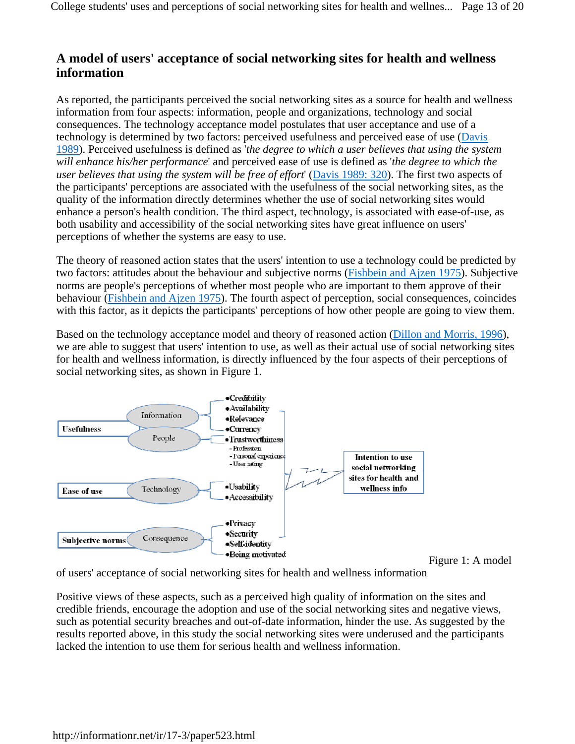### **A model of users' acceptance of social networking sites for health and wellness information**

As reported, the participants perceived the social networking sites as a source for health and wellness information from four aspects: information, people and organizations, technology and social consequences. The technology acceptance model postulates that user acceptance and use of a technology is determined by two factors: perceived usefulness and perceived ease of use (Davis 1989). Perceived usefulness is defined as '*the degree to which a user believes that using the system will enhance his/her performance*' and perceived ease of use is defined as '*the degree to which the user believes that using the system will be free of effort*' (Davis 1989: 320). The first two aspects of the participants' perceptions are associated with the usefulness of the social networking sites, as the quality of the information directly determines whether the use of social networking sites would enhance a person's health condition. The third aspect, technology, is associated with ease-of-use, as both usability and accessibility of the social networking sites have great influence on users' perceptions of whether the systems are easy to use.

The theory of reasoned action states that the users' intention to use a technology could be predicted by two factors: attitudes about the behaviour and subjective norms (Fishbein and Ajzen 1975). Subjective norms are people's perceptions of whether most people who are important to them approve of their behaviour (Fishbein and Ajzen 1975). The fourth aspect of perception, social consequences, coincides with this factor, as it depicts the participants' perceptions of how other people are going to view them.

Based on the technology acceptance model and theory of reasoned action (Dillon and Morris, 1996), we are able to suggest that users' intention to use, as well as their actual use of social networking sites for health and wellness information, is directly influenced by the four aspects of their perceptions of social networking sites, as shown in Figure 1.



of users' acceptance of social networking sites for health and wellness information

Positive views of these aspects, such as a perceived high quality of information on the sites and credible friends, encourage the adoption and use of the social networking sites and negative views, such as potential security breaches and out-of-date information, hinder the use. As suggested by the results reported above, in this study the social networking sites were underused and the participants lacked the intention to use them for serious health and wellness information.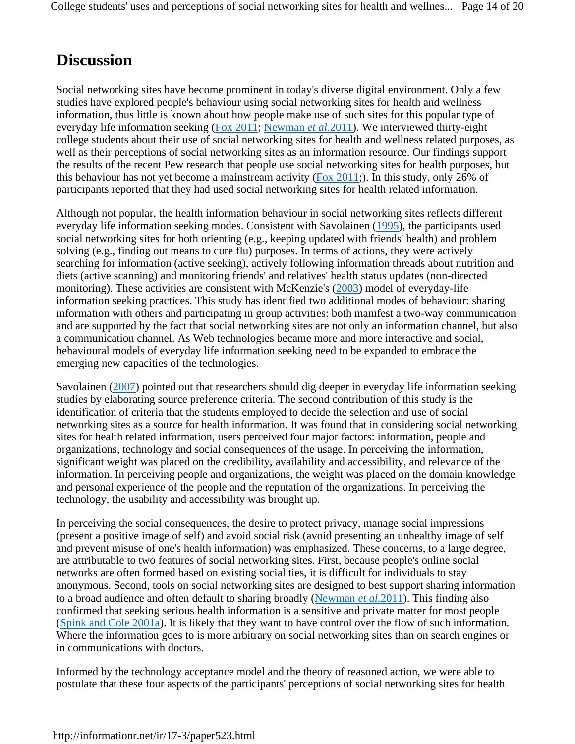# **Discussion**

Social networking sites have become prominent in today's diverse digital environment. Only a few studies have explored people's behaviour using social networking sites for health and wellness information, thus little is known about how people make use of such sites for this popular type of everyday life information seeking (Fox 2011; Newman *et al.*2011). We interviewed thirty-eight college students about their use of social networking sites for health and wellness related purposes, as well as their perceptions of social networking sites as an information resource. Our findings support the results of the recent Pew research that people use social networking sites for health purposes, but this behaviour has not yet become a mainstream activity (Fox 2011;). In this study, only 26% of participants reported that they had used social networking sites for health related information.

Although not popular, the health information behaviour in social networking sites reflects different everyday life information seeking modes. Consistent with Savolainen (1995), the participants used social networking sites for both orienting (e.g., keeping updated with friends' health) and problem solving (e.g., finding out means to cure flu) purposes. In terms of actions, they were actively searching for information (active seeking), actively following information threads about nutrition and diets (active scanning) and monitoring friends' and relatives' health status updates (non-directed monitoring). These activities are consistent with McKenzie's (2003) model of everyday-life information seeking practices. This study has identified two additional modes of behaviour: sharing information with others and participating in group activities: both manifest a two-way communication and are supported by the fact that social networking sites are not only an information channel, but also a communication channel. As Web technologies became more and more interactive and social, behavioural models of everyday life information seeking need to be expanded to embrace the emerging new capacities of the technologies.

Savolainen (2007) pointed out that researchers should dig deeper in everyday life information seeking studies by elaborating source preference criteria. The second contribution of this study is the identification of criteria that the students employed to decide the selection and use of social networking sites as a source for health information. It was found that in considering social networking sites for health related information, users perceived four major factors: information, people and organizations, technology and social consequences of the usage. In perceiving the information, significant weight was placed on the credibility, availability and accessibility, and relevance of the information. In perceiving people and organizations, the weight was placed on the domain knowledge and personal experience of the people and the reputation of the organizations. In perceiving the technology, the usability and accessibility was brought up.

In perceiving the social consequences, the desire to protect privacy, manage social impressions (present a positive image of self) and avoid social risk (avoid presenting an unhealthy image of self and prevent misuse of one's health information) was emphasized. These concerns, to a large degree, are attributable to two features of social networking sites. First, because people's online social networks are often formed based on existing social ties, it is difficult for individuals to stay anonymous. Second, tools on social networking sites are designed to best support sharing information to a broad audience and often default to sharing broadly (Newman *et al.*2011). This finding also confirmed that seeking serious health information is a sensitive and private matter for most people (Spink and Cole 2001a). It is likely that they want to have control over the flow of such information. Where the information goes to is more arbitrary on social networking sites than on search engines or in communications with doctors.

Informed by the technology acceptance model and the theory of reasoned action, we were able to postulate that these four aspects of the participants' perceptions of social networking sites for health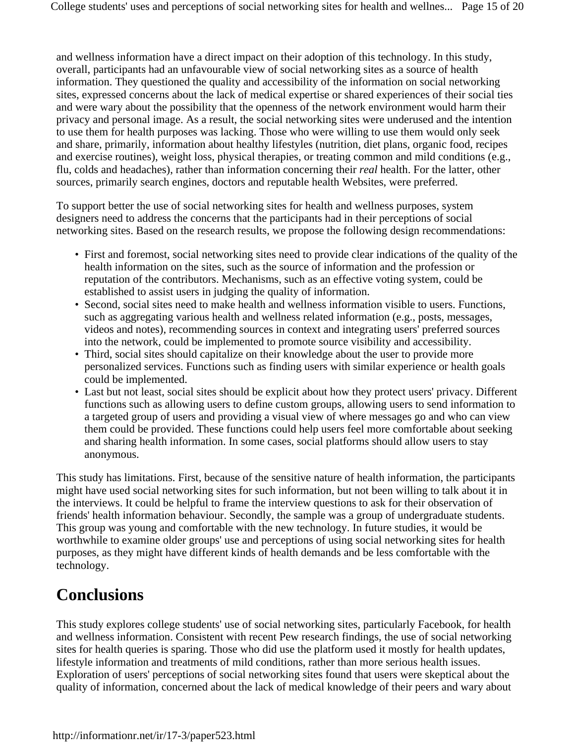and wellness information have a direct impact on their adoption of this technology. In this study, overall, participants had an unfavourable view of social networking sites as a source of health information. They questioned the quality and accessibility of the information on social networking sites, expressed concerns about the lack of medical expertise or shared experiences of their social ties and were wary about the possibility that the openness of the network environment would harm their privacy and personal image. As a result, the social networking sites were underused and the intention to use them for health purposes was lacking. Those who were willing to use them would only seek and share, primarily, information about healthy lifestyles (nutrition, diet plans, organic food, recipes and exercise routines), weight loss, physical therapies, or treating common and mild conditions (e.g., flu, colds and headaches), rather than information concerning their *real* health. For the latter, other sources, primarily search engines, doctors and reputable health Websites, were preferred.

To support better the use of social networking sites for health and wellness purposes, system designers need to address the concerns that the participants had in their perceptions of social networking sites. Based on the research results, we propose the following design recommendations:

- First and foremost, social networking sites need to provide clear indications of the quality of the health information on the sites, such as the source of information and the profession or reputation of the contributors. Mechanisms, such as an effective voting system, could be established to assist users in judging the quality of information.
- Second, social sites need to make health and wellness information visible to users. Functions, such as aggregating various health and wellness related information (e.g., posts, messages, videos and notes), recommending sources in context and integrating users' preferred sources into the network, could be implemented to promote source visibility and accessibility.
- Third, social sites should capitalize on their knowledge about the user to provide more personalized services. Functions such as finding users with similar experience or health goals could be implemented.
- Last but not least, social sites should be explicit about how they protect users' privacy. Different functions such as allowing users to define custom groups, allowing users to send information to a targeted group of users and providing a visual view of where messages go and who can view them could be provided. These functions could help users feel more comfortable about seeking and sharing health information. In some cases, social platforms should allow users to stay anonymous.

This study has limitations. First, because of the sensitive nature of health information, the participants might have used social networking sites for such information, but not been willing to talk about it in the interviews. It could be helpful to frame the interview questions to ask for their observation of friends' health information behaviour. Secondly, the sample was a group of undergraduate students. This group was young and comfortable with the new technology. In future studies, it would be worthwhile to examine older groups' use and perceptions of using social networking sites for health purposes, as they might have different kinds of health demands and be less comfortable with the technology.

# **Conclusions**

This study explores college students' use of social networking sites, particularly Facebook, for health and wellness information. Consistent with recent Pew research findings, the use of social networking sites for health queries is sparing. Those who did use the platform used it mostly for health updates, lifestyle information and treatments of mild conditions, rather than more serious health issues. Exploration of users' perceptions of social networking sites found that users were skeptical about the quality of information, concerned about the lack of medical knowledge of their peers and wary about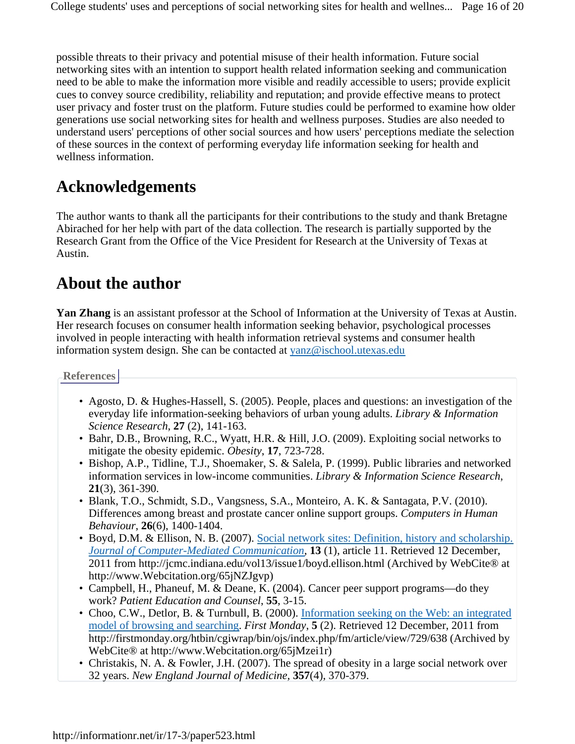possible threats to their privacy and potential misuse of their health information. Future social networking sites with an intention to support health related information seeking and communication need to be able to make the information more visible and readily accessible to users; provide explicit cues to convey source credibility, reliability and reputation; and provide effective means to protect user privacy and foster trust on the platform. Future studies could be performed to examine how older generations use social networking sites for health and wellness purposes. Studies are also needed to understand users' perceptions of other social sources and how users' perceptions mediate the selection of these sources in the context of performing everyday life information seeking for health and wellness information.

# **Acknowledgements**

The author wants to thank all the participants for their contributions to the study and thank Bretagne Abirached for her help with part of the data collection. The research is partially supported by the Research Grant from the Office of the Vice President for Research at the University of Texas at Austin.

# **About the author**

**Yan Zhang** is an assistant professor at the School of Information at the University of Texas at Austin. Her research focuses on consumer health information seeking behavior, psychological processes involved in people interacting with health information retrieval systems and consumer health information system design. She can be contacted at yanz@ischool.utexas.edu

**References**

- Agosto, D. & Hughes-Hassell, S. (2005). People, places and questions: an investigation of the everyday life information-seeking behaviors of urban young adults. *Library & Information Science Research*, **27** (2), 141-163.
- Bahr, D.B., Browning, R.C., Wyatt, H.R. & Hill, J.O. (2009). Exploiting social networks to mitigate the obesity epidemic. *Obesity*, **17**, 723-728.
- Bishop, A.P., Tidline, T.J., Shoemaker, S. & Salela, P. (1999). Public libraries and networked information services in low-income communities. *Library & Information Science Research*, **21**(3), 361-390.
- Blank, T.O., Schmidt, S.D., Vangsness, S.A., Monteiro, A. K. & Santagata, P.V. (2010). Differences among breast and prostate cancer online support groups. *Computers in Human Behaviour*, **26**(6), 1400-1404.
- Boyd, D.M. & Ellison, N. B. (2007). Social network sites: Definition, history and scholarship. *Journal of Computer-Mediated Communication*, **13** (1), article 11. Retrieved 12 December, 2011 from http://jcmc.indiana.edu/vol13/issue1/boyd.ellison.html (Archived by WebCite® at http://www.Webcitation.org/65jNZJgvp)
- Campbell, H., Phaneuf, M. & Deane, K. (2004). Cancer peer support programs—do they work? *Patient Education and Counsel*, **55**, 3-15.
- Choo, C.W., Detlor, B. & Turnbull, B. (2000). Information seeking on the Web: an integrated model of browsing and searching. *First Monday*, **5** (2). Retrieved 12 December, 2011 from http://firstmonday.org/htbin/cgiwrap/bin/ojs/index.php/fm/article/view/729/638 (Archived by WebCite® at http://www.Webcitation.org/65jMzei1r)
- Christakis, N. A. & Fowler, J.H. (2007). The spread of obesity in a large social network over 32 years. *New England Journal of Medicine*, **357**(4), 370-379.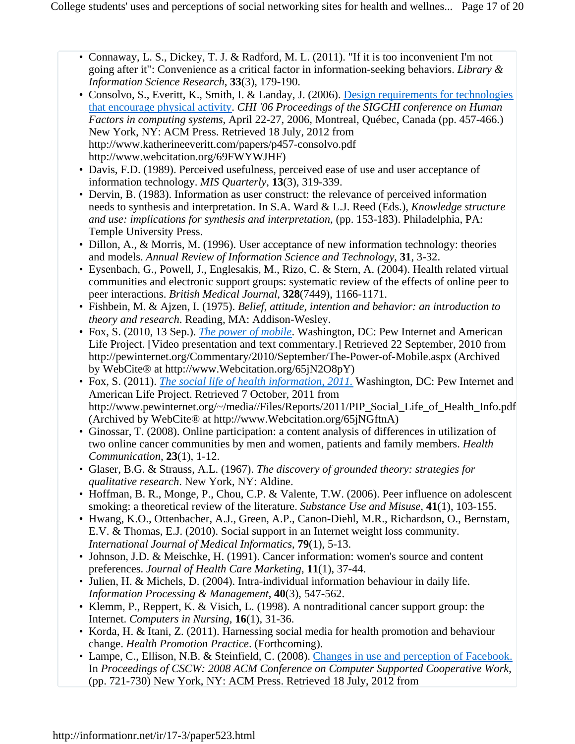- Connaway, L. S., Dickey, T. J. & Radford, M. L. (2011). "If it is too inconvenient I'm not going after it": Convenience as a critical factor in information-seeking behaviors. *Library & Information Science Research*, **33**(3), 179-190.
- Consolvo, S., Everitt, K., Smith, I. & Landay, J. (2006). Design requirements for technologies that encourage physical activity. *CHI '06 Proceedings of the SIGCHI conference on Human Factors in computing systems*, April 22-27, 2006, Montreal, Québec, Canada (pp. 457-466.) New York, NY: ACM Press. Retrieved 18 July, 2012 from http://www.katherineeveritt.com/papers/p457-consolvo.pdf http://www.webcitation.org/69FWYWJHF)
- Davis, F.D. (1989). Perceived usefulness, perceived ease of use and user acceptance of information technology. *MIS Quarterly*, **13**(3), 319-339.
- Dervin, B. (1983). Information as user construct: the relevance of perceived information needs to synthesis and interpretation. In S.A. Ward & L.J. Reed (Eds.), *Knowledge structure and use: implications for synthesis and interpretation*, (pp. 153-183). Philadelphia, PA: Temple University Press.
- Dillon, A., & Morris, M. (1996). User acceptance of new information technology: theories and models. *Annual Review of Information Science and Technology*, **31**, 3-32.
- Eysenbach, G., Powell, J., Englesakis, M., Rizo, C. & Stern, A. (2004). Health related virtual communities and electronic support groups: systematic review of the effects of online peer to peer interactions. *British Medical Journal*, **328**(7449), 1166-1171.
- Fishbein, M. & Ajzen, I. (1975). *Belief, attitude, intention and behavior: an introduction to theory and research*. Reading, MA: Addison-Wesley.
- Fox, S. (2010, 13 Sep.). *The power of mobile*. Washington, DC: Pew Internet and American Life Project. [Video presentation and text commentary.] Retrieved 22 September, 2010 from http://pewinternet.org/Commentary/2010/September/The-Power-of-Mobile.aspx (Archived by WebCite® at http://www.Webcitation.org/65jN2O8pY)
- Fox, S. (2011). *The social life of health information*, 2011. Washington, DC: Pew Internet and American Life Project. Retrieved 7 October, 2011 from http://www.pewinternet.org/~/media//Files/Reports/2011/PIP\_Social\_Life\_of\_Health\_Info.pdf (Archived by WebCite® at http://www.Webcitation.org/65jNGftnA)
- Ginossar, T. (2008). Online participation: a content analysis of differences in utilization of two online cancer communities by men and women, patients and family members. *Health Communication*, **23**(1), 1-12.
- Glaser, B.G. & Strauss, A.L. (1967). *The discovery of grounded theory: strategies for qualitative research*. New York, NY: Aldine.
- Hoffman, B. R., Monge, P., Chou, C.P. & Valente, T.W. (2006). Peer influence on adolescent smoking: a theoretical review of the literature. *Substance Use and Misuse*, **41**(1), 103-155.
- Hwang, K.O., Ottenbacher, A.J., Green, A.P., Canon-Diehl, M.R., Richardson, O., Bernstam, E.V. & Thomas, E.J. (2010). Social support in an Internet weight loss community. *International Journal of Medical Informatics*, **79**(1), 5-13.
- Johnson, J.D. & Meischke, H. (1991). Cancer information: women's source and content preferences. *Journal of Health Care Marketing*, **11**(1), 37-44.
- Julien, H. & Michels, D. (2004). Intra-individual information behaviour in daily life. *Information Processing & Management*, **40**(3), 547-562.
- Klemm, P., Reppert, K. & Visich, L. (1998). A nontraditional cancer support group: the Internet. *Computers in Nursing*, **16**(1), 31-36.
- Korda, H. & Itani, Z. (2011). Harnessing social media for health promotion and behaviour change. *Health Promotion Practice*. (Forthcoming).
- Lampe, C., Ellison, N.B. & Steinfield, C. (2008). Changes in use and perception of Facebook. In *Proceedings of CSCW: 2008 ACM Conference on Computer Supported Cooperative Work*, (pp. 721-730) New York, NY: ACM Press. Retrieved 18 July, 2012 from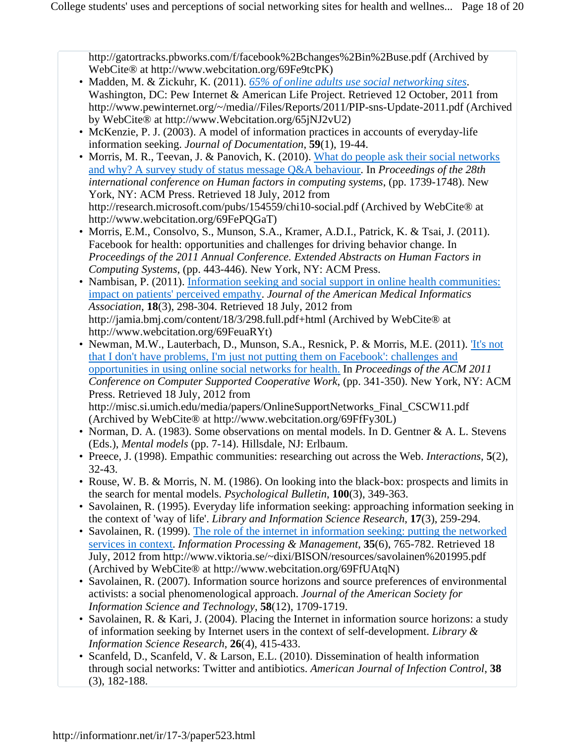http://gatortracks.pbworks.com/f/facebook%2Bchanges%2Bin%2Buse.pdf (Archived by WebCite® at http://www.webcitation.org/69Fe9tcPK)

- Madden, M. & Zickuhr, K. (2011). **65% of online adults use social networking sites**. Washington, DC: Pew Internet & American Life Project. Retrieved 12 October, 2011 from http://www.pewinternet.org/~/media//Files/Reports/2011/PIP-sns-Update-2011.pdf (Archived by WebCite® at http://www.Webcitation.org/65jNJ2vU2)
- McKenzie, P. J. (2003). A model of information practices in accounts of everyday-life information seeking. *Journal of Documentation*, **59**(1), 19-44.
- Morris, M. R., Teevan, J. & Panovich, K. (2010). What do people ask their social networks and why? A survey study of status message Q&A behaviour. In *Proceedings of the 28th international conference on Human factors in computing systems*, (pp. 1739-1748). New York, NY: ACM Press. Retrieved 18 July, 2012 from http://research.microsoft.com/pubs/154559/chi10-social.pdf (Archived by WebCite® at http://www.webcitation.org/69FePQGaT)
- Morris, E.M., Consolvo, S., Munson, S.A., Kramer, A.D.I., Patrick, K. & Tsai, J. (2011). Facebook for health: opportunities and challenges for driving behavior change. In *Proceedings of the 2011 Annual Conference. Extended Abstracts on Human Factors in Computing Systems*, (pp. 443-446). New York, NY: ACM Press.
- Nambisan, P. (2011). Information seeking and social support in online health communities: impact on patients' perceived empathy. *Journal of the American Medical Informatics Association*, **18**(3), 298-304. Retrieved 18 July, 2012 from http://jamia.bmj.com/content/18/3/298.full.pdf+html (Archived by WebCite® at http://www.webcitation.org/69FeuaRYt)
- Newman, M.W., Lauterbach, D., Munson, S.A., Resnick, P. & Morris, M.E. (2011). *It's not* that I don't have problems, I'm just not putting them on Facebook': challenges and opportunities in using online social networks for health. In *Proceedings of the ACM 2011 Conference on Computer Supported Cooperative Work*, (pp. 341-350). New York, NY: ACM Press. Retrieved 18 July, 2012 from http://misc.si.umich.edu/media/papers/OnlineSupportNetworks\_Final\_CSCW11.pdf (Archived by WebCite® at http://www.webcitation.org/69FfFy30L)
- Norman, D. A. (1983). Some observations on mental models. In D. Gentner & A. L. Stevens (Eds.), *Mental models* (pp. 7-14). Hillsdale, NJ: Erlbaum.
- Preece, J. (1998). Empathic communities: researching out across the Web. *Interactions*, **5**(2), 32-43.
- Rouse, W. B. & Morris, N. M. (1986). On looking into the black-box: prospects and limits in the search for mental models. *Psychological Bulletin*, **100**(3), 349-363.
- Savolainen, R. (1995). Everyday life information seeking: approaching information seeking in the context of 'way of life'. *Library and Information Science Research*, **17**(3), 259-294.
- Savolainen, R. (1999). The role of the internet in information seeking: putting the networked services in context. *Information Processing & Management*, **35**(6), 765-782. Retrieved 18 July, 2012 from http://www.viktoria.se/~dixi/BISON/resources/savolainen%201995.pdf (Archived by WebCite® at http://www.webcitation.org/69FfUAtqN)
- Savolainen, R. (2007). Information source horizons and source preferences of environmental activists: a social phenomenological approach. *Journal of the American Society for Information Science and Technology*, **58**(12), 1709-1719.
- Savolainen, R. & Kari, J. (2004). Placing the Internet in information source horizons: a study of information seeking by Internet users in the context of self-development. *Library & Information Science Research*, **26**(4), 415-433.
- Scanfeld, D., Scanfeld, V. & Larson, E.L. (2010). Dissemination of health information through social networks: Twitter and antibiotics. *American Journal of Infection Control*, **38** (3), 182-188.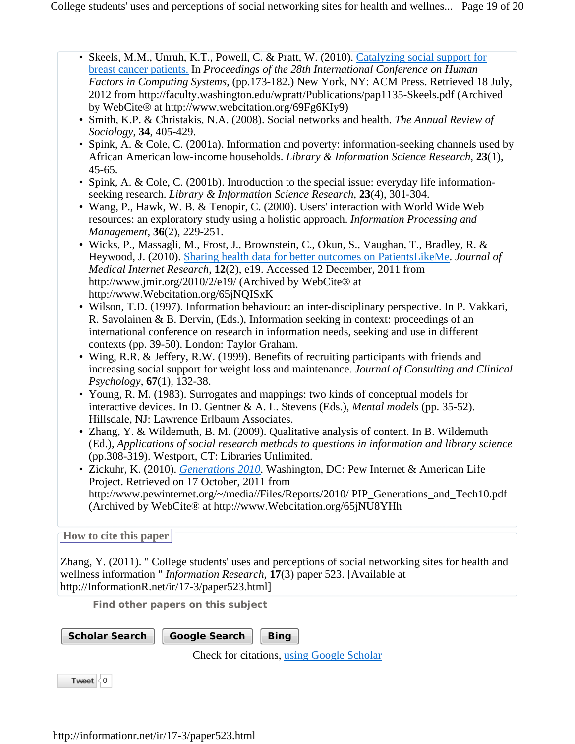- Skeels, M.M., Unruh, K.T., Powell, C. & Pratt, W. (2010). Catalyzing social support for breast cancer patients. In *Proceedings of the 28th International Conference on Human Factors in Computing Systems*, (pp.173-182.) New York, NY: ACM Press. Retrieved 18 July, 2012 from http://faculty.washington.edu/wpratt/Publications/pap1135-Skeels.pdf (Archived by WebCite® at http://www.webcitation.org/69Fg6KIy9)
- Smith, K.P. & Christakis, N.A. (2008). Social networks and health. *The Annual Review of Sociology*, **34**, 405-429.
- Spink, A. & Cole, C. (2001a). Information and poverty: information-seeking channels used by African American low-income households. *Library & Information Science Research*, **23**(1), 45-65.
- Spink, A. & Cole, C. (2001b). Introduction to the special issue: everyday life informationseeking research. *Library & Information Science Research*, **23**(4), 301-304.
- Wang, P., Hawk, W. B. & Tenopir, C. (2000). Users' interaction with World Wide Web resources: an exploratory study using a holistic approach. *Information Processing and Management*, **36**(2), 229-251.
- Wicks, P., Massagli, M., Frost, J., Brownstein, C., Okun, S., Vaughan, T., Bradley, R. & Heywood, J. (2010). Sharing health data for better outcomes on PatientsLikeMe. *Journal of Medical Internet Research*, **12**(2), e19. Accessed 12 December, 2011 from http://www.jmir.org/2010/2/e19/ (Archived by WebCite® at http://www.Webcitation.org/65jNQISxK
- Wilson, T.D. (1997). Information behaviour: an inter-disciplinary perspective. In P. Vakkari, R. Savolainen & B. Dervin, (Eds.), Information seeking in context: proceedings of an international conference on research in information needs, seeking and use in different contexts (pp. 39-50). London: Taylor Graham.
- Wing, R.R. & Jeffery, R.W. (1999). Benefits of recruiting participants with friends and increasing social support for weight loss and maintenance. *Journal of Consulting and Clinical Psychology*, **67**(1), 132-38.
- Young, R. M. (1983). Surrogates and mappings: two kinds of conceptual models for interactive devices. In D. Gentner & A. L. Stevens (Eds.), *Mental models* (pp. 35-52). Hillsdale, NJ: Lawrence Erlbaum Associates.
- Zhang, Y. & Wildemuth, B. M. (2009). Qualitative analysis of content. In B. Wildemuth (Ed.), *Applications of social research methods to questions in information and library science* (pp.308-319). Westport, CT: Libraries Unlimited.
- Zickuhr, K. (2010). *Generations 2010*. Washington, DC: Pew Internet & American Life Project. Retrieved on 17 October, 2011 from http://www.pewinternet.org/~/media//Files/Reports/2010/ PIP\_Generations\_and\_Tech10.pdf (Archived by WebCite® at http://www.Webcitation.org/65jNU8YHh

#### **How to cite this paper**

Zhang, Y. (2011). " College students' uses and perceptions of social networking sites for health and wellness information " *Information Research*, **17**(3) paper 523. [Available at http://InformationR.net/ir/17-3/paper523.html]

**Find other papers on this subject**

**Scholar Search** Google Search Bing

Check for citations, using Google Scholar

Tweet  $\langle 0$